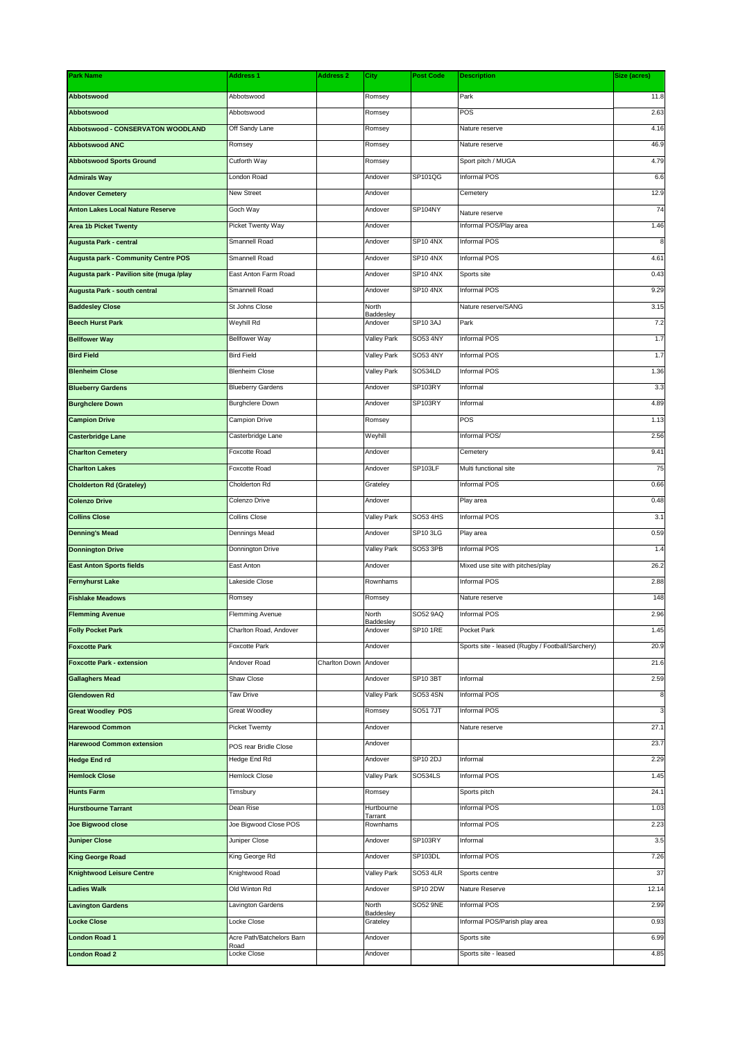| <b>Park Name</b>                           | <b>Address 1</b>          | <b>Address 2</b> | City                  | <b>Post Code</b> | <b>Description</b>                               | Size (acres) |
|--------------------------------------------|---------------------------|------------------|-----------------------|------------------|--------------------------------------------------|--------------|
| Abbotswood                                 | Abbotswood                |                  | Romsey                |                  | Park                                             | 11.8         |
| <b>Abbotswood</b>                          | Abbotswood                |                  | Romsey                |                  | POS                                              | 2.63         |
| Abbotswood - CONSERVATON WOODLAND          | Off Sandy Lane            |                  | Romsey                |                  | Nature reserve                                   | 4.16         |
| <b>Abbotswood ANC</b>                      | Romsey                    |                  | Romsey                |                  | Nature reserve                                   | 46.9         |
| <b>Abbotswood Sports Ground</b>            | Cutforth Way              |                  | Romsey                |                  | Sport pitch / MUGA                               | 4.79         |
| <b>Admirals Way</b>                        | London Road               |                  | Andover               | SP101QG          | Informal POS                                     | 6.6          |
| <b>Andover Cemetery</b>                    | New Street                |                  | Andover               |                  | Cemetery                                         | 12.9         |
| <b>Anton Lakes Local Nature Reserve</b>    | Goch Way                  |                  | Andover               | SP104NY          | Nature reserve                                   | 74           |
| <b>Area 1b Picket Twenty</b>               | Picket Twenty Way         |                  | Andover               |                  | Informal POS/Play area                           | 1.46         |
| Augusta Park - central                     | Smannell Road             |                  | Andover               | <b>SP10 4NX</b>  | Informal POS                                     |              |
| <b>Augusta park - Community Centre POS</b> | Smannell Road             |                  | Andover               | SP10 4NX         | Informal POS                                     | 4.61         |
| Augusta park - Pavilion site (muga /play   | East Anton Farm Road      |                  | Andover               | SP10 4NX         | Sports site                                      | 0.43         |
| Augusta Park - south central               | Smannell Road             |                  | Andover               | SP10 4NX         | Informal POS                                     | 9.29         |
| <b>Baddesley Close</b>                     | St Johns Close            |                  | North                 |                  | Nature reserve/SANG                              | 3.15         |
| <b>Beech Hurst Park</b>                    | Weyhill Rd                |                  | Baddesley<br>Andover  | SP10 3AJ         | Park                                             | 7.2          |
| <b>Bellfower Way</b>                       | <b>Bellfower Way</b>      |                  | Valley Park           | <b>SO53 4NY</b>  | Informal POS                                     | 1.7          |
| <b>Bird Field</b>                          | <b>Bird Field</b>         |                  | Valley Park           | <b>SO53 4NY</b>  | Informal POS                                     | 1.7          |
| <b>Blenheim Close</b>                      | <b>Blenheim Close</b>     |                  | Valley Park           | SO534LD          | Informal POS                                     | 1.36         |
| <b>Blueberry Gardens</b>                   | <b>Blueberry Gardens</b>  |                  | Andover               | SP103RY          | Informal                                         | 3.3          |
| <b>Burghclere Down</b>                     | <b>Burghclere Down</b>    |                  | Andover               | SP103RY          | Informal                                         | 4.89         |
| <b>Campion Drive</b>                       | Campion Drive             |                  | Romsey                |                  | POS                                              | 1.13         |
| <b>Casterbridge Lane</b>                   | Casterbridge Lane         |                  | Weyhill               |                  | Informal POS/                                    | 2.56         |
| <b>Charlton Cemetery</b>                   | Foxcotte Road             |                  | Andover               |                  | Cemetery                                         | 9.41         |
|                                            | Foxcotte Road             |                  | Andover               | SP103LF          | Multi functional site                            | 75           |
| <b>Charlton Lakes</b>                      |                           |                  |                       |                  | Informal POS                                     |              |
| <b>Cholderton Rd (Grateley)</b>            | Cholderton Rd             |                  | Grateley              |                  |                                                  | 0.66         |
| <b>Colenzo Drive</b>                       | Colenzo Drive             |                  | Andover               | SO53 4HS         | Play area                                        | 0.48         |
| <b>Collins Close</b>                       | <b>Collins Close</b>      |                  | Valley Park           |                  | Informal POS                                     | 3.1          |
| <b>Denning's Mead</b>                      | Dennings Mead             |                  | Andover               | <b>SP10 3LG</b>  | Play area                                        | 0.59         |
| <b>Donnington Drive</b>                    | Donnington Drive          |                  | <b>Valley Park</b>    | SO53 3PB         | Informal POS                                     | 1.4          |
| <b>East Anton Sports fields</b>            | East Anton                |                  | Andover               |                  | Mixed use site with pitches/play                 | 26.2         |
| <b>Fernyhurst Lake</b>                     | Lakeside Close            |                  | Rownhams              |                  | Informal POS                                     | 2.88         |
| <b>Fishlake Meadows</b>                    | Romsey                    |                  | Romsey                |                  | Nature reserve                                   | 148          |
| <b>Flemming Avenue</b>                     | Flemming Avenue           |                  | North<br>Baddeslev    | SO52 9AQ         | Informal POS                                     | 2.96         |
| <b>Folly Pocket Park</b>                   | Charlton Road, Andover    |                  | Andover               | <b>SP10 1RE</b>  | Pocket Park                                      | 1.45         |
| <b>Foxcotte Park</b>                       | Foxcotte Park             |                  | Andover               |                  | Sports site - leased (Rugby / Football/Sarchery) | 20.9         |
| <b>Foxcotte Park - extension</b>           | Andover Road              | Charlton Down    | Andover               |                  |                                                  | 21.6         |
| <b>Gallaghers Mead</b>                     | Shaw Close                |                  | Andover               | SP10 3BT         | Informal                                         | 2.59         |
| <b>Glendowen Rd</b>                        | Taw Drive                 |                  | Valley Park           | SO53 4SN         | Informal POS                                     | 8            |
| <b>Great Woodley POS</b>                   | <b>Great Woodley</b>      |                  | Romsey                | SO51 7JT         | Informal POS                                     |              |
| <b>Harewood Common</b>                     | <b>Picket Twemty</b>      |                  | Andover               |                  | Nature reserve                                   | 27.1         |
| <b>Harewood Common extension</b>           | POS rear Bridle Close     |                  | Andover               |                  |                                                  | 23.7         |
| <b>Hedge End rd</b>                        | Hedge End Rd              |                  | Andover               | SP10 2DJ         | Informal                                         | 2.29         |
| <b>Hemlock Close</b>                       | <b>Hemlock Close</b>      |                  | <b>Valley Park</b>    | <b>SO534LS</b>   | Informal POS                                     | 1.45         |
| <b>Hunts Farm</b>                          | Timsbury                  |                  | Romsey                |                  | Sports pitch                                     | 24.1         |
| <b>Hurstbourne Tarrant</b>                 | Dean Rise                 |                  | Hurtbourne<br>Tarrant |                  | Informal POS                                     | 1.03         |
| <b>Joe Bigwood close</b>                   | Joe Bigwood Close POS     |                  | Rownhams              |                  | Informal POS                                     | 2.23         |
| <b>Juniper Close</b>                       | Juniper Close             |                  | Andover               | SP103RY          | Informal                                         | 3.5          |
| <b>King George Road</b>                    | King George Rd            |                  | Andover               | SP103DL          | Informal POS                                     | 7.26         |
| <b>Knightwood Leisure Centre</b>           | Knightwood Road           |                  | Valley Park           | <b>SO53 4LR</b>  | Sports centre                                    | 37           |
| <b>Ladies Walk</b>                         | Old Winton Rd             |                  | Andover               | <b>SP10 2DW</b>  | Nature Reserve                                   | 12.14        |
| <b>Lavington Gardens</b>                   | Lavington Gardens         |                  | North                 | <b>SO52 9NE</b>  | Informal POS                                     | 2.99         |
| <b>Locke Close</b>                         | Locke Close               |                  | Baddesley<br>Grateley |                  | Informal POS/Parish play area                    | 0.93         |
| London Road 1                              | Acre Path/Batchelors Barn |                  | Andover               |                  | Sports site                                      | 6.99         |
| <b>London Road 2</b>                       | Road<br>Locke Close       |                  | Andover               |                  | Sports site - leased                             | 4.85         |
|                                            |                           |                  |                       |                  |                                                  |              |